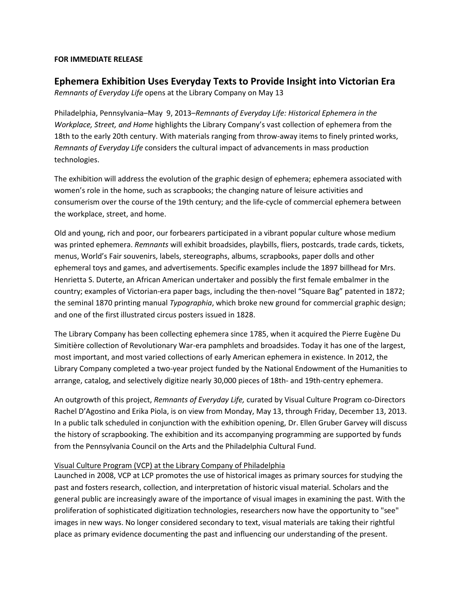## **FOR IMMEDIATE RELEASE**

## **Ephemera Exhibition Uses Everyday Texts to Provide Insight into Victorian Era**

*Remnants of Everyday Life* opens at the Library Company on May 13

Philadelphia, Pennsylvania–May 9, 2013–*Remnants of Everyday Life: Historical Ephemera in the Workplace, Street, and Home* highlights the Library Company's vast collection of ephemera from the 18th to the early 20th century. With materials ranging from throw-away items to finely printed works, *Remnants of Everyday Life* considers the cultural impact of advancements in mass production technologies.

The exhibition will address the evolution of the graphic design of ephemera; ephemera associated with women's role in the home, such as scrapbooks; the changing nature of leisure activities and consumerism over the course of the 19th century; and the life-cycle of commercial ephemera between the workplace, street, and home.

Old and young, rich and poor, our forbearers participated in a vibrant popular culture whose medium was printed ephemera. *Remnants* will exhibit broadsides, playbills, fliers, postcards, trade cards, tickets, menus, World's Fair souvenirs, labels, stereographs, albums, scrapbooks, paper dolls and other ephemeral toys and games, and advertisements. Specific examples include the 1897 billhead for Mrs. Henrietta S. Duterte, an African American undertaker and possibly the first female embalmer in the country; examples of Victorian-era paper bags, including the then-novel "Square Bag" patented in 1872; the seminal 1870 printing manual *Typographia*, which broke new ground for commercial graphic design; and one of the first illustrated circus posters issued in 1828.

The Library Company has been collecting ephemera since 1785, when it acquired the Pierre Eugène Du Simitière collection of Revolutionary War-era pamphlets and broadsides. Today it has one of the largest, most important, and most varied collections of early American ephemera in existence. In 2012, the Library Company completed a two-year project funded by the National Endowment of the Humanities to arrange, catalog, and selectively digitize nearly 30,000 pieces of 18th- and 19th-centry ephemera.

An outgrowth of this project, *Remnants of Everyday Life,* curated by Visual Culture Program co-Directors Rachel D'Agostino and Erika Piola, is on view from Monday, May 13, through Friday, December 13, 2013. In a public talk scheduled in conjunction with the exhibition opening, Dr. Ellen Gruber Garvey will discuss the history of scrapbooking. The exhibition and its accompanying programming are supported by funds from the Pennsylvania Council on the Arts and the Philadelphia Cultural Fund.

## Visual Culture Program (VCP) at the Library Company of Philadelphia

Launched in 2008, VCP at LCP promotes the use of historical images as primary sources for studying the past and fosters research, collection, and interpretation of historic visual material. Scholars and the general public are increasingly aware of the importance of visual images in examining the past. With the proliferation of sophisticated digitization technologies, researchers now have the opportunity to "see" images in new ways. No longer considered secondary to text, visual materials are taking their rightful place as primary evidence documenting the past and influencing our understanding of the present.